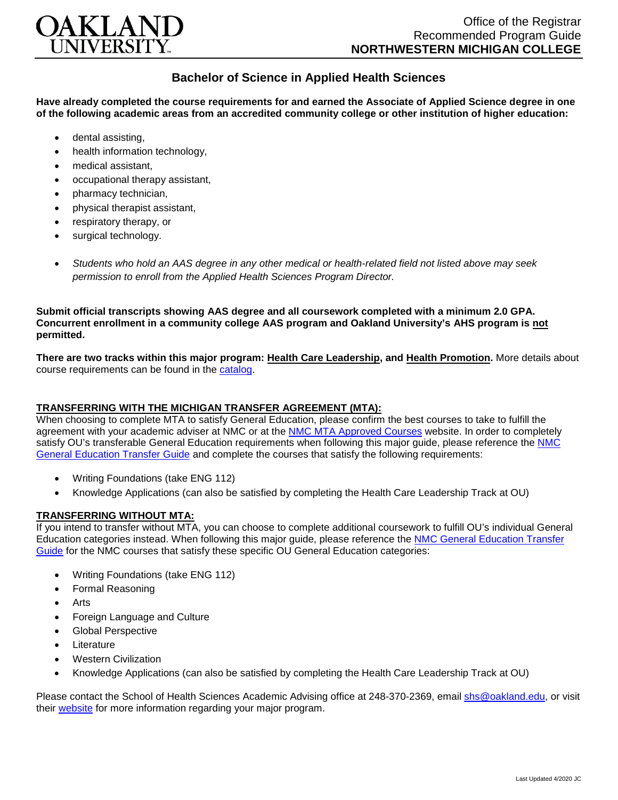

## **Bachelor of Science in Applied Health Sciences**

**Have already completed the course requirements for and earned the Associate of Applied Science degree in one of the following academic areas from an accredited community college or other institution of higher education:**

- dental assisting,
- health information technology.
- medical assistant,
- occupational therapy assistant,
- pharmacy technician,
- physical therapist assistant,
- respiratory therapy, or
- surgical technology.
- *Students who hold an AAS degree in any other medical or health-related field not listed above may seek permission to enroll from the Applied Health Sciences Program Director.*

**Submit official transcripts showing AAS degree and all coursework completed with a minimum 2.0 GPA. Concurrent enrollment in a community college AAS program and Oakland University's AHS program is not permitted.**

**There are two tracks within this major program: Health Care Leadership, and Health Promotion.** More details about course requirements can be found in the [catalog.](http://catalog.oakland.edu/preview_program.php?catoid=44&poid=6779)

## **TRANSFERRING WITH THE MICHIGAN TRANSFER AGREEMENT (MTA):**

When choosing to complete MTA to satisfy General Education, please confirm the best courses to take to fulfill the agreement with your academic adviser at NMC or at the [NMC MTA Approved Courses](https://www.nmc.edu/programs/course-descriptions/group-1-courses-for-mta.pdf) website. In order to completely satisfy OU's transferable General Education requirements when following this major guide, please reference the NMC [General Education Transfer Guide](https://www.oakland.edu/Assets/Oakland/program-guides/northwestern-michigan-college/university-general-education-requirements/Northwestern%20Gen%20Ed.pdf) and complete the courses that satisfy the following requirements:

- Writing Foundations (take ENG 112)
- Knowledge Applications (can also be satisfied by completing the Health Care Leadership Track at OU)

## **TRANSFERRING WITHOUT MTA:**

If you intend to transfer without MTA, you can choose to complete additional coursework to fulfill OU's individual General Education categories instead. When following this major guide, please reference the [NMC General Education Transfer](https://www.oakland.edu/Assets/Oakland/program-guides/northwestern-michigan-college/university-general-education-requirements/Northwestern%20Gen%20Ed.pdf)  [Guide](https://www.oakland.edu/Assets/Oakland/program-guides/northwestern-michigan-college/university-general-education-requirements/Northwestern%20Gen%20Ed.pdf) for the NMC courses that satisfy these specific OU General Education categories:

- Writing Foundations (take ENG 112)
- Formal Reasoning
- **Arts**
- Foreign Language and Culture
- Global Perspective
- **Literature**
- Western Civilization
- Knowledge Applications (can also be satisfied by completing the Health Care Leadership Track at OU)

Please contact the School of Health Sciences Academic Advising office at 248-370-2369, email [shs@oakland.edu,](mailto:shs@oakland.edu) or visit their [website](http://www.oakland.edu/shs/advising) for more information regarding your major program.